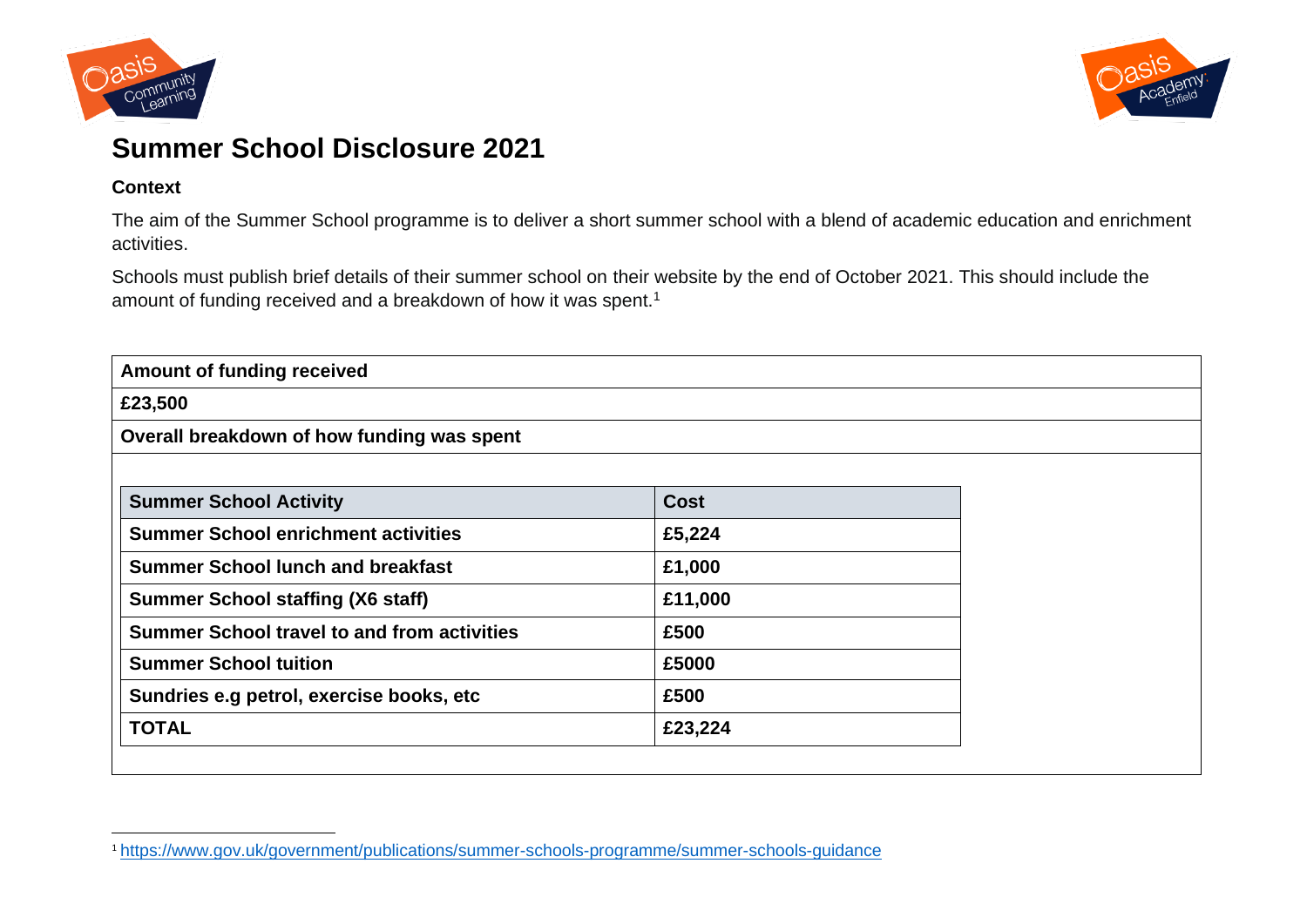



## **Summer School Disclosure 2021**

## **Context**

The aim of the Summer School programme is to deliver a short summer school with a blend of academic education and enrichment activities.

Schools must publish brief details of their summer school on their website by the end of October 2021. This should include the amount of funding received and a breakdown of how it was spent.<sup>1</sup>

| Amount of funding received                         |             |  |
|----------------------------------------------------|-------------|--|
| £23,500                                            |             |  |
| Overall breakdown of how funding was spent         |             |  |
|                                                    |             |  |
| <b>Summer School Activity</b>                      | <b>Cost</b> |  |
| <b>Summer School enrichment activities</b>         | £5,224      |  |
| <b>Summer School lunch and breakfast</b>           | £1,000      |  |
| <b>Summer School staffing (X6 staff)</b>           | £11,000     |  |
| <b>Summer School travel to and from activities</b> | £500        |  |
| <b>Summer School tuition</b>                       | £5000       |  |
| Sundries e.g petrol, exercise books, etc           | £500        |  |
| <b>TOTAL</b>                                       | £23,224     |  |

<sup>1</sup> <https://www.gov.uk/government/publications/summer-schools-programme/summer-schools-guidance>